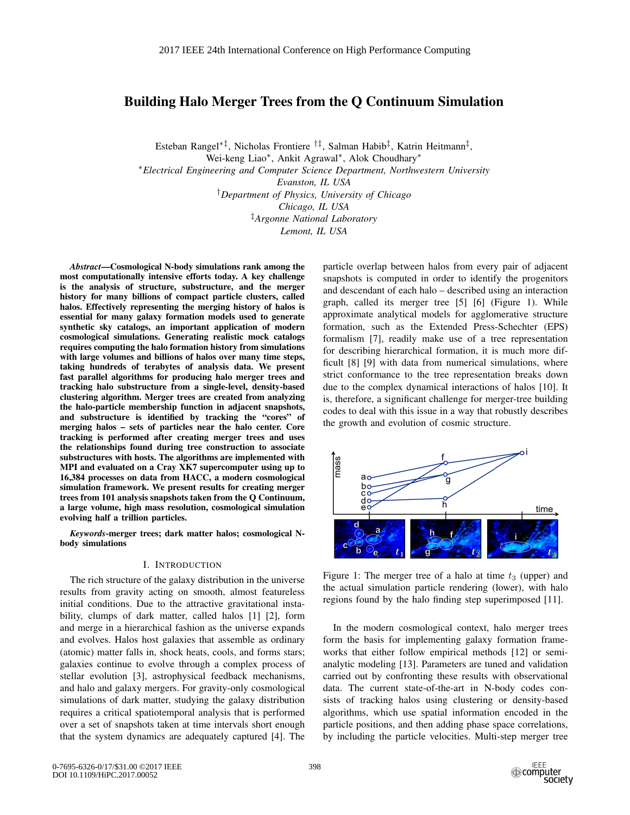# Building Halo Merger Trees from the Q Continuum Simulation

Esteban Rangel∗‡, Nicholas Frontiere †‡, Salman Habib‡, Katrin Heitmann‡,

Wei-keng Liao∗, Ankit Agrawal∗, Alok Choudhary∗

∗*Electrical Engineering and Computer Science Department, Northwestern University*

*Evanston, IL USA*

†*Department of Physics, University of Chicago*

*Chicago, IL USA*

‡*Argonne National Laboratory*

*Lemont, IL USA*

*Abstract*—Cosmological N-body simulations rank among the most computationally intensive efforts today. A key challenge is the analysis of structure, substructure, and the merger history for many billions of compact particle clusters, called halos. Effectively representing the merging history of halos is essential for many galaxy formation models used to generate synthetic sky catalogs, an important application of modern cosmological simulations. Generating realistic mock catalogs requires computing the halo formation history from simulations with large volumes and billions of halos over many time steps, taking hundreds of terabytes of analysis data. We present fast parallel algorithms for producing halo merger trees and tracking halo substructure from a single-level, density-based clustering algorithm. Merger trees are created from analyzing the halo-particle membership function in adjacent snapshots, and substructure is identified by tracking the "cores" of merging halos – sets of particles near the halo center. Core tracking is performed after creating merger trees and uses the relationships found during tree construction to associate substructures with hosts. The algorithms are implemented with MPI and evaluated on a Cray XK7 supercomputer using up to 16,384 processes on data from HACC, a modern cosmological simulation framework. We present results for creating merger trees from 101 analysis snapshots taken from the Q Continuum, a large volume, high mass resolution, cosmological simulation evolving half a trillion particles.

*Keywords*-merger trees; dark matter halos; cosmological Nbody simulations

#### I. INTRODUCTION

The rich structure of the galaxy distribution in the universe results from gravity acting on smooth, almost featureless initial conditions. Due to the attractive gravitational instability, clumps of dark matter, called halos [1] [2], form and merge in a hierarchical fashion as the universe expands and evolves. Halos host galaxies that assemble as ordinary (atomic) matter falls in, shock heats, cools, and forms stars; galaxies continue to evolve through a complex process of stellar evolution [3], astrophysical feedback mechanisms, and halo and galaxy mergers. For gravity-only cosmological simulations of dark matter, studying the galaxy distribution requires a critical spatiotemporal analysis that is performed over a set of snapshots taken at time intervals short enough that the system dynamics are adequately captured [4]. The particle overlap between halos from every pair of adjacent snapshots is computed in order to identify the progenitors and descendant of each halo – described using an interaction graph, called its merger tree [5] [6] (Figure 1). While approximate analytical models for agglomerative structure formation, such as the Extended Press-Schechter (EPS) formalism [7], readily make use of a tree representation for describing hierarchical formation, it is much more difficult [8] [9] with data from numerical simulations, where strict conformance to the tree representation breaks down due to the complex dynamical interactions of halos [10]. It is, therefore, a significant challenge for merger-tree building codes to deal with this issue in a way that robustly describes the growth and evolution of cosmic structure.



Figure 1: The merger tree of a halo at time  $t_3$  (upper) and the actual simulation particle rendering (lower), with halo regions found by the halo finding step superimposed [11].

In the modern cosmological context, halo merger trees form the basis for implementing galaxy formation frameworks that either follow empirical methods [12] or semianalytic modeling [13]. Parameters are tuned and validation carried out by confronting these results with observational data. The current state-of-the-art in N-body codes consists of tracking halos using clustering or density-based algorithms, which use spatial information encoded in the particle positions, and then adding phase space correlations, by including the particle velocities. Multi-step merger tree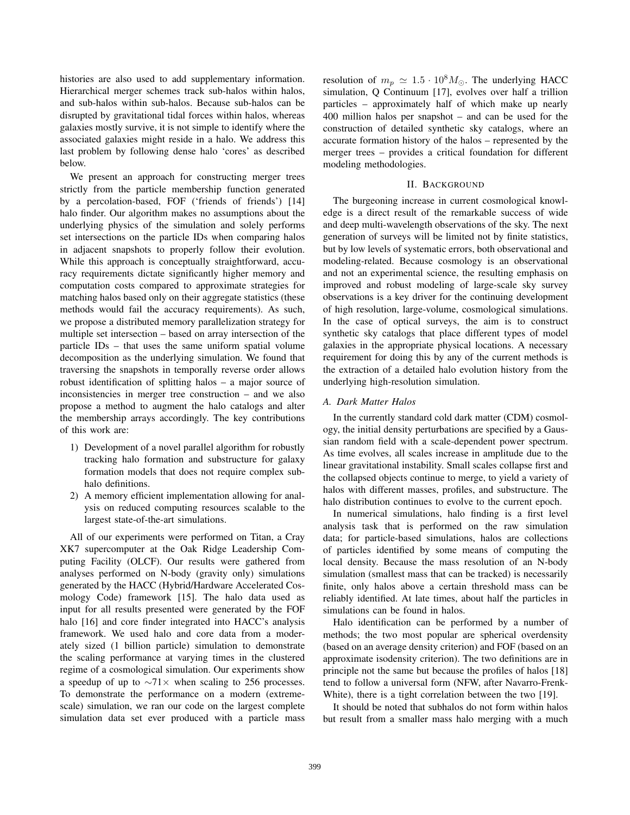histories are also used to add supplementary information. Hierarchical merger schemes track sub-halos within halos, and sub-halos within sub-halos. Because sub-halos can be disrupted by gravitational tidal forces within halos, whereas galaxies mostly survive, it is not simple to identify where the associated galaxies might reside in a halo. We address this last problem by following dense halo 'cores' as described below.

We present an approach for constructing merger trees strictly from the particle membership function generated by a percolation-based, FOF ('friends of friends') [14] halo finder. Our algorithm makes no assumptions about the underlying physics of the simulation and solely performs set intersections on the particle IDs when comparing halos in adjacent snapshots to properly follow their evolution. While this approach is conceptually straightforward, accuracy requirements dictate significantly higher memory and computation costs compared to approximate strategies for matching halos based only on their aggregate statistics (these methods would fail the accuracy requirements). As such, we propose a distributed memory parallelization strategy for multiple set intersection – based on array intersection of the particle IDs – that uses the same uniform spatial volume decomposition as the underlying simulation. We found that traversing the snapshots in temporally reverse order allows robust identification of splitting halos – a major source of inconsistencies in merger tree construction – and we also propose a method to augment the halo catalogs and alter the membership arrays accordingly. The key contributions of this work are:

- 1) Development of a novel parallel algorithm for robustly tracking halo formation and substructure for galaxy formation models that does not require complex subhalo definitions.
- 2) A memory efficient implementation allowing for analysis on reduced computing resources scalable to the largest state-of-the-art simulations.

All of our experiments were performed on Titan, a Cray XK7 supercomputer at the Oak Ridge Leadership Computing Facility (OLCF). Our results were gathered from analyses performed on N-body (gravity only) simulations generated by the HACC (Hybrid/Hardware Accelerated Cosmology Code) framework [15]. The halo data used as input for all results presented were generated by the FOF halo [16] and core finder integrated into HACC's analysis framework. We used halo and core data from a moderately sized (1 billion particle) simulation to demonstrate the scaling performance at varying times in the clustered regime of a cosmological simulation. Our experiments show a speedup of up to  $\sim$ 71× when scaling to 256 processes. To demonstrate the performance on a modern (extremescale) simulation, we ran our code on the largest complete simulation data set ever produced with a particle mass

resolution of  $m_p \simeq 1.5 \cdot 10^8 M_{\odot}$ . The underlying HACC<br>simulation O Continuum [17] evolves over half a trillion simulation, Q Continuum [17], evolves over half a trillion particles – approximately half of which make up nearly 400 million halos per snapshot – and can be used for the construction of detailed synthetic sky catalogs, where an accurate formation history of the halos – represented by the merger trees – provides a critical foundation for different modeling methodologies.

#### II. BACKGROUND

The burgeoning increase in current cosmological knowledge is a direct result of the remarkable success of wide and deep multi-wavelength observations of the sky. The next generation of surveys will be limited not by finite statistics, but by low levels of systematic errors, both observational and modeling-related. Because cosmology is an observational and not an experimental science, the resulting emphasis on improved and robust modeling of large-scale sky survey observations is a key driver for the continuing development of high resolution, large-volume, cosmological simulations. In the case of optical surveys, the aim is to construct synthetic sky catalogs that place different types of model galaxies in the appropriate physical locations. A necessary requirement for doing this by any of the current methods is the extraction of a detailed halo evolution history from the underlying high-resolution simulation.

# *A. Dark Matter Halos*

In the currently standard cold dark matter (CDM) cosmology, the initial density perturbations are specified by a Gaussian random field with a scale-dependent power spectrum. As time evolves, all scales increase in amplitude due to the linear gravitational instability. Small scales collapse first and the collapsed objects continue to merge, to yield a variety of halos with different masses, profiles, and substructure. The halo distribution continues to evolve to the current epoch.

In numerical simulations, halo finding is a first level analysis task that is performed on the raw simulation data; for particle-based simulations, halos are collections of particles identified by some means of computing the local density. Because the mass resolution of an N-body simulation (smallest mass that can be tracked) is necessarily finite, only halos above a certain threshold mass can be reliably identified. At late times, about half the particles in simulations can be found in halos.

Halo identification can be performed by a number of methods; the two most popular are spherical overdensity (based on an average density criterion) and FOF (based on an approximate isodensity criterion). The two definitions are in principle not the same but because the profiles of halos [18] tend to follow a universal form (NFW, after Navarro-Frenk-White), there is a tight correlation between the two [19].

It should be noted that subhalos do not form within halos but result from a smaller mass halo merging with a much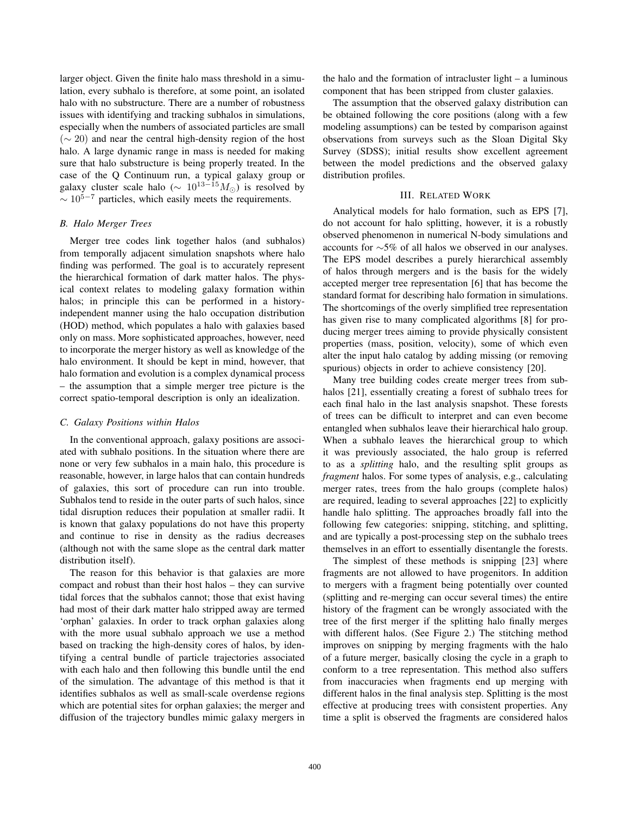larger object. Given the finite halo mass threshold in a simulation, every subhalo is therefore, at some point, an isolated halo with no substructure. There are a number of robustness issues with identifying and tracking subhalos in simulations, especially when the numbers of associated particles are small  $({\sim} 20)$  and near the central high-density region of the host halo. A large dynamic range in mass is needed for making sure that halo substructure is being properly treated. In the case of the Q Continuum run, a typical galaxy group or galaxy cluster scale halo ( $\sim 10^{13-15} M_{\odot}$ ) is resolved by<br> $\sim 10^{5-7}$  particles, which easily meets the requirements  $\sim 10^{5-7}$  particles, which easily meets the requirements.

# *B. Halo Merger Trees*

Merger tree codes link together halos (and subhalos) from temporally adjacent simulation snapshots where halo finding was performed. The goal is to accurately represent the hierarchical formation of dark matter halos. The physical context relates to modeling galaxy formation within halos; in principle this can be performed in a historyindependent manner using the halo occupation distribution (HOD) method, which populates a halo with galaxies based only on mass. More sophisticated approaches, however, need to incorporate the merger history as well as knowledge of the halo environment. It should be kept in mind, however, that halo formation and evolution is a complex dynamical process – the assumption that a simple merger tree picture is the correct spatio-temporal description is only an idealization.

### *C. Galaxy Positions within Halos*

In the conventional approach, galaxy positions are associated with subhalo positions. In the situation where there are none or very few subhalos in a main halo, this procedure is reasonable, however, in large halos that can contain hundreds of galaxies, this sort of procedure can run into trouble. Subhalos tend to reside in the outer parts of such halos, since tidal disruption reduces their population at smaller radii. It is known that galaxy populations do not have this property and continue to rise in density as the radius decreases (although not with the same slope as the central dark matter distribution itself).

The reason for this behavior is that galaxies are more compact and robust than their host halos – they can survive tidal forces that the subhalos cannot; those that exist having had most of their dark matter halo stripped away are termed 'orphan' galaxies. In order to track orphan galaxies along with the more usual subhalo approach we use a method based on tracking the high-density cores of halos, by identifying a central bundle of particle trajectories associated with each halo and then following this bundle until the end of the simulation. The advantage of this method is that it identifies subhalos as well as small-scale overdense regions which are potential sites for orphan galaxies; the merger and diffusion of the trajectory bundles mimic galaxy mergers in

the halo and the formation of intracluster light – a luminous component that has been stripped from cluster galaxies.

The assumption that the observed galaxy distribution can be obtained following the core positions (along with a few modeling assumptions) can be tested by comparison against observations from surveys such as the Sloan Digital Sky Survey (SDSS); initial results show excellent agreement between the model predictions and the observed galaxy distribution profiles.

# III. RELATED WORK

Analytical models for halo formation, such as EPS [7], do not account for halo splitting, however, it is a robustly observed phenomenon in numerical N-body simulations and accounts for ∼5% of all halos we observed in our analyses. The EPS model describes a purely hierarchical assembly of halos through mergers and is the basis for the widely accepted merger tree representation [6] that has become the standard format for describing halo formation in simulations. The shortcomings of the overly simplified tree representation has given rise to many complicated algorithms [8] for producing merger trees aiming to provide physically consistent properties (mass, position, velocity), some of which even alter the input halo catalog by adding missing (or removing spurious) objects in order to achieve consistency [20].

Many tree building codes create merger trees from subhalos [21], essentially creating a forest of subhalo trees for each final halo in the last analysis snapshot. These forests of trees can be difficult to interpret and can even become entangled when subhalos leave their hierarchical halo group. When a subhalo leaves the hierarchical group to which it was previously associated, the halo group is referred to as a *splitting* halo, and the resulting split groups as *fragment* halos. For some types of analysis, e.g., calculating merger rates, trees from the halo groups (complete halos) are required, leading to several approaches [22] to explicitly handle halo splitting. The approaches broadly fall into the following few categories: snipping, stitching, and splitting, and are typically a post-processing step on the subhalo trees themselves in an effort to essentially disentangle the forests.

The simplest of these methods is snipping [23] where fragments are not allowed to have progenitors. In addition to mergers with a fragment being potentially over counted (splitting and re-merging can occur several times) the entire history of the fragment can be wrongly associated with the tree of the first merger if the splitting halo finally merges with different halos. (See Figure 2.) The stitching method improves on snipping by merging fragments with the halo of a future merger, basically closing the cycle in a graph to conform to a tree representation. This method also suffers from inaccuracies when fragments end up merging with different halos in the final analysis step. Splitting is the most effective at producing trees with consistent properties. Any time a split is observed the fragments are considered halos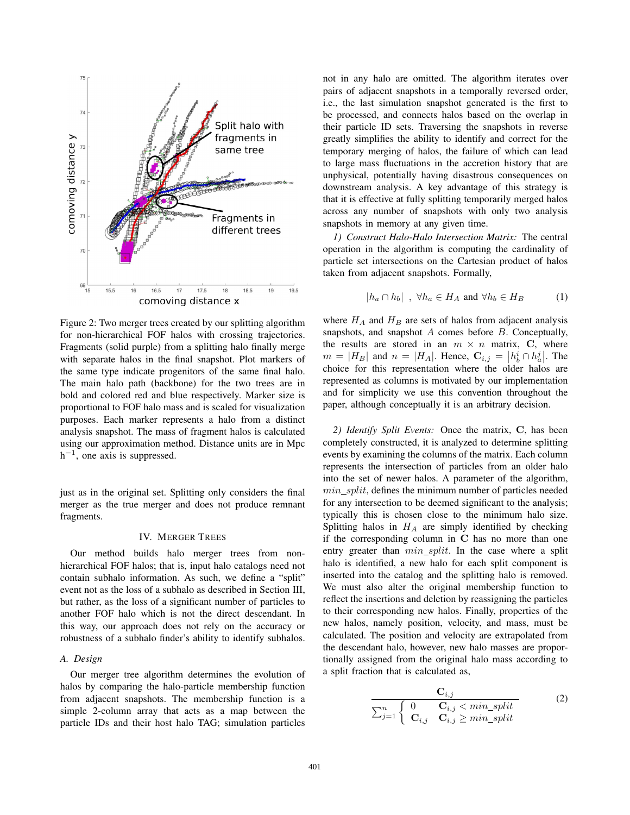

Figure 2: Two merger trees created by our splitting algorithm for non-hierarchical FOF halos with crossing trajectories. Fragments (solid purple) from a splitting halo finally merge with separate halos in the final snapshot. Plot markers of the same type indicate progenitors of the same final halo. The main halo path (backbone) for the two trees are in bold and colored red and blue respectively. Marker size is proportional to FOF halo mass and is scaled for visualization purposes. Each marker represents a halo from a distinct analysis snapshot. The mass of fragment halos is calculated using our approximation method. Distance units are in Mpc  $h^{-1}$ , one axis is suppressed.

just as in the original set. Splitting only considers the final merger as the true merger and does not produce remnant fragments.

### IV. MERGER TREES

Our method builds halo merger trees from nonhierarchical FOF halos; that is, input halo catalogs need not contain subhalo information. As such, we define a "split" event not as the loss of a subhalo as described in Section III, but rather, as the loss of a significant number of particles to another FOF halo which is not the direct descendant. In this way, our approach does not rely on the accuracy or robustness of a subhalo finder's ability to identify subhalos.

#### *A. Design*

Our merger tree algorithm determines the evolution of halos by comparing the halo-particle membership function from adjacent snapshots. The membership function is a simple 2-column array that acts as a map between the particle IDs and their host halo TAG; simulation particles

not in any halo are omitted. The algorithm iterates over pairs of adjacent snapshots in a temporally reversed order, i.e., the last simulation snapshot generated is the first to be processed, and connects halos based on the overlap in their particle ID sets. Traversing the snapshots in reverse greatly simplifies the ability to identify and correct for the temporary merging of halos, the failure of which can lead to large mass fluctuations in the accretion history that are unphysical, potentially having disastrous consequences on downstream analysis. A key advantage of this strategy is that it is effective at fully splitting temporarily merged halos across any number of snapshots with only two analysis snapshots in memory at any given time.

*1) Construct Halo-Halo Intersection Matrix:* The central operation in the algorithm is computing the cardinality of particle set intersections on the Cartesian product of halos taken from adjacent snapshots. Formally,

$$
|h_a \cap h_b| \, , \, \forall h_a \in H_A \text{ and } \forall h_b \in H_B \tag{1}
$$

where  $H_A$  and  $H_B$  are sets of halos from adjacent analysis snapshots, and snapshot  $A$  comes before  $B$ . Conceptually, the results are stored in an  $m \times n$  matrix, C, where  $m = |H_B|$  and  $n = |H_A|$ . Hence,  $\mathbf{C}_{i,j} = |h_b^i \cap h_a^j|$ . The choice for this representation where the older halos are represented as columns is motivated by our implementation and for simplicity we use this convention throughout the paper, although conceptually it is an arbitrary decision.

*2) Identify Split Events:* Once the matrix, **C**, has been completely constructed, it is analyzed to determine splitting events by examining the columns of the matrix. Each column represents the intersection of particles from an older halo into the set of newer halos. A parameter of the algorithm,  $min$  split, defines the minimum number of particles needed for any intersection to be deemed significant to the analysis; typically this is chosen close to the minimum halo size. Splitting halos in  $H_A$  are simply identified by checking if the corresponding column in **C** has no more than one entry greater than  $min$  split. In the case where a split halo is identified, a new halo for each split component is inserted into the catalog and the splitting halo is removed. We must also alter the original membership function to reflect the insertions and deletion by reassigning the particles to their corresponding new halos. Finally, properties of the new halos, namely position, velocity, and mass, must be calculated. The position and velocity are extrapolated from the descendant halo, however, new halo masses are proportionally assigned from the original halo mass according to a split fraction that is calculated as,

$$
\frac{\mathbf{C}_{i,j}}{\sum_{j=1}^{n} \begin{cases} 0 & \mathbf{C}_{i,j} < min\_split\\ \mathbf{C}_{i,j} & \mathbf{C}_{i,j} \ge min\_split \end{cases} (2)
$$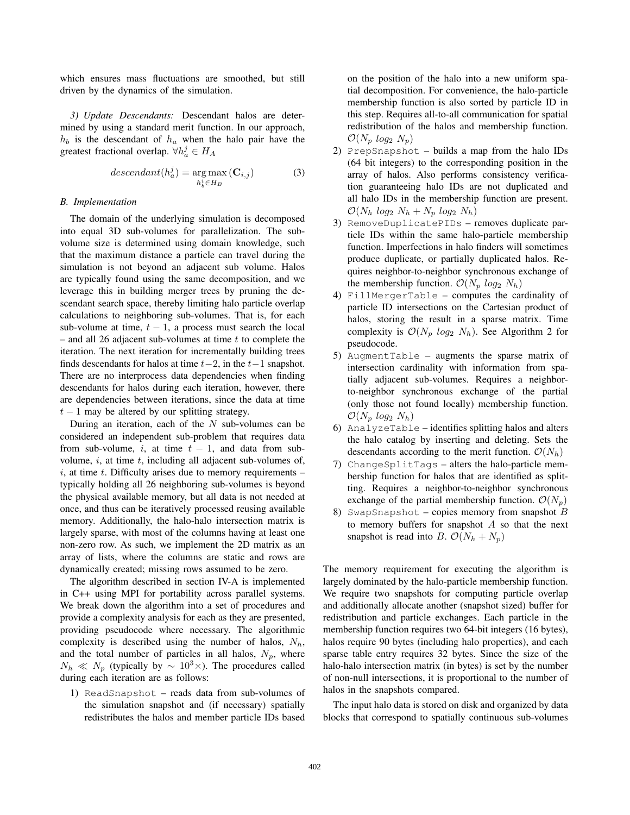which ensures mass fluctuations are smoothed, but still driven by the dynamics of the simulation.

*3) Update Descendants:* Descendant halos are determined by using a standard merit function. In our approach,  $h_b$  is the descendant of  $h_a$  when the halo pair have the greatest fractional overlap.  $\forall h_a^j \in H_A$ 

$$
descendant(h_a^j) = \underset{h_b^i \in H_B}{\arg \max} (\mathbf{C}_{i,j})
$$
 (3)

# *B. Implementation*

The domain of the underlying simulation is decomposed into equal 3D sub-volumes for parallelization. The subvolume size is determined using domain knowledge, such that the maximum distance a particle can travel during the simulation is not beyond an adjacent sub volume. Halos are typically found using the same decomposition, and we leverage this in building merger trees by pruning the descendant search space, thereby limiting halo particle overlap calculations to neighboring sub-volumes. That is, for each sub-volume at time,  $t - 1$ , a process must search the local – and all 26 adjacent sub-volumes at time  $t$  to complete the iteration. The next iteration for incrementally building trees finds descendants for halos at time  $t-2$ , in the  $t-1$  snapshot. There are no interprocess data dependencies when finding descendants for halos during each iteration, however, there are dependencies between iterations, since the data at time  $t - 1$  may be altered by our splitting strategy.

During an iteration, each of the  $N$  sub-volumes can be considered an independent sub-problem that requires data from sub-volume, i, at time  $t - 1$ , and data from subvolume,  $i$ , at time  $t$ , including all adjacent sub-volumes of,  $i$ , at time  $t$ . Difficulty arises due to memory requirements  $$ typically holding all 26 neighboring sub-volumes is beyond the physical available memory, but all data is not needed at once, and thus can be iteratively processed reusing available memory. Additionally, the halo-halo intersection matrix is largely sparse, with most of the columns having at least one non-zero row. As such, we implement the 2D matrix as an array of lists, where the columns are static and rows are dynamically created; missing rows assumed to be zero.

The algorithm described in section IV-A is implemented in C++ using MPI for portability across parallel systems. We break down the algorithm into a set of procedures and provide a complexity analysis for each as they are presented, providing pseudocode where necessary. The algorithmic complexity is described using the number of halos,  $N_h$ , and the total number of particles in all halos,  $N_p$ , where  $N_h \ll N_p$  (typically by ~ 10<sup>3</sup>×). The procedures called during each iteration are as follows:

1) ReadSnapshot – reads data from sub-volumes of the simulation snapshot and (if necessary) spatially redistributes the halos and member particle IDs based on the position of the halo into a new uniform spatial decomposition. For convenience, the halo-particle membership function is also sorted by particle ID in this step. Requires all-to-all communication for spatial redistribution of the halos and membership function.  $\mathcal{O}(N_p \ log_2 N_p)$ 

- 2) PrepSnapshot builds a map from the halo IDs (64 bit integers) to the corresponding position in the array of halos. Also performs consistency verification guaranteeing halo IDs are not duplicated and all halo IDs in the membership function are present.  $\mathcal{O}(N_h \log_2 N_h + N_p \log_2 N_h)$
- 3) RemoveDuplicatePIDs removes duplicate particle IDs within the same halo-particle membership function. Imperfections in halo finders will sometimes produce duplicate, or partially duplicated halos. Requires neighbor-to-neighbor synchronous exchange of the membership function.  $\mathcal{O}(N_p \log_2 N_h)$
- 4) FillMergerTable computes the cardinality of particle ID intersections on the Cartesian product of halos, storing the result in a sparse matrix. Time complexity is  $\mathcal{O}(N_p \log_2 N_h)$ . See Algorithm 2 for pseudocode.
- 5) AugmentTable augments the sparse matrix of intersection cardinality with information from spatially adjacent sub-volumes. Requires a neighborto-neighbor synchronous exchange of the partial (only those not found locally) membership function.  $\mathcal{O}(N_p \log_2 N_h)$
- 6) AnalyzeTable identifies splitting halos and alters the halo catalog by inserting and deleting. Sets the descendants according to the merit function.  $\mathcal{O}(N_h)$
- 7) ChangeSplitTags alters the halo-particle membership function for halos that are identified as splitting. Requires a neighbor-to-neighbor synchronous exchange of the partial membership function.  $\mathcal{O}(N_p)$
- 8) SwapSnapshot copies memory from snapshot  $B$ to memory buffers for snapshot  $A$  so that the next snapshot is read into B.  $\mathcal{O}(N_h + N_p)$

The memory requirement for executing the algorithm is largely dominated by the halo-particle membership function. We require two snapshots for computing particle overlap and additionally allocate another (snapshot sized) buffer for redistribution and particle exchanges. Each particle in the membership function requires two 64-bit integers (16 bytes), halos require 90 bytes (including halo properties), and each sparse table entry requires 32 bytes. Since the size of the halo-halo intersection matrix (in bytes) is set by the number of non-null intersections, it is proportional to the number of halos in the snapshots compared.

The input halo data is stored on disk and organized by data blocks that correspond to spatially continuous sub-volumes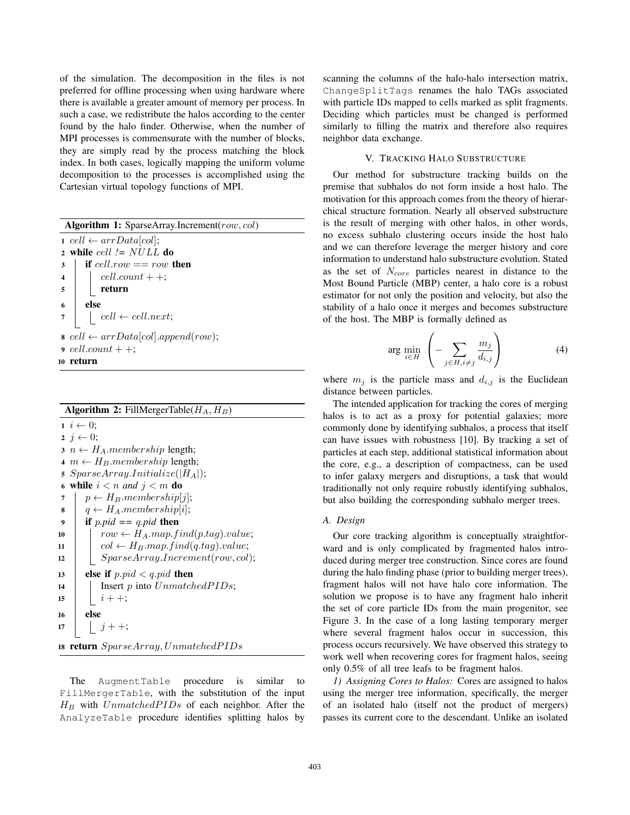of the simulation. The decomposition in the files is not preferred for offline processing when using hardware where there is available a greater amount of memory per process. In such a case, we redistribute the halos according to the center found by the halo finder. Otherwise, when the number of MPI processes is commensurate with the number of blocks, they are simply read by the process matching the block index. In both cases, logically mapping the uniform volume decomposition to the processes is accomplished using the Cartesian virtual topology functions of MPI.

Algorithm 1: SparseArray.Increment(row, col) 1 cell  $\leftarrow arrData[col]$ ; <sup>2</sup> while cell *!=* NULL do  $\begin{array}{c|c} \textbf{3} & \textbf{if cell.} row == row \textbf{then} \\ \textbf{4} & \text{cell.} count++: \end{array}$  $\begin{array}{c|c} \n\textbf{4} & \textbf{cell.count++}; \\ \n\textbf{5} & \textbf{return} \n\end{array}$ return  $6 \mid$  else 7  $\vert$  cell  $\leftarrow$  cell.next;  $\textit{s} \text{ cell} \leftarrow arrData[col].append(row);$  $9 \ cell.count++;$ <sup>10</sup> return

Algorithm 2: FillMergerTable( $H_A$ ,  $H_B$ )  $i \leftarrow 0;$  $2 \ i \leftarrow 0;$  $3 \ n \leftarrow H_A$ .*membership* length; 4  $m \leftarrow H_B$ .membership length; 5  $SparseArray. Initialize(|H_A|);$ 6 while  $i < n$  and  $j < m$  do 7  $p \leftarrow H_B$ .membership[j];<br>8  $q \leftarrow H_A$ .membership[i]; 8  $q \leftarrow H_A$ .membership[i];<br>9 **if** p.pid == a.pid **then** if  $p$ *.pid* ==  $q$ *.pid* then <sup>10</sup> row <sup>←</sup> <sup>H</sup>A.map.f ind(p.tag).value; 11 col ←  $H_B$ .map.find(q.tag).value;<br>12 SparseArray.Increment(row.col 12 SparseArray.Increment(row, col);<br> **else if**  $p.pdf < q, pid$  **then** else if  $p.pid < q.pid$  then 14 | Insert p into  $UnmatchedPIDs$ ;  $\begin{array}{|c|c|} \hline 15 & \phantom{0} & \phantom{0} & i++; \ \hline 16 & \text{else} \end{array}$ else 17 |  $j + +$ ; 18 return  $SparseArray, Unmatched PIDs$ 

The AugmentTable procedure is similar to FillMergerTable, with the substitution of the input  $H_B$  with  $Unmatched PIDs$  of each neighbor. After the AnalyzeTable procedure identifies splitting halos by

scanning the columns of the halo-halo intersection matrix, ChangeSplitTags renames the halo TAGs associated with particle IDs mapped to cells marked as split fragments. Deciding which particles must be changed is performed similarly to filling the matrix and therefore also requires neighbor data exchange.

# V. TRACKING HALO SUBSTRUCTURE

Our method for substructure tracking builds on the premise that subhalos do not form inside a host halo. The motivation for this approach comes from the theory of hierarchical structure formation. Nearly all observed substructure is the result of merging with other halos, in other words, no excess subhalo clustering occurs inside the host halo and we can therefore leverage the merger history and core information to understand halo substructure evolution. Stated as the set of  $N_{core}$  particles nearest in distance to the Most Bound Particle (MBP) center, a halo core is a robust estimator for not only the position and velocity, but also the stability of a halo once it merges and becomes substructure of the host. The MBP is formally defined as

$$
\arg\min_{i\in H} \left( -\sum_{j\in H, i\neq j} \frac{m_j}{d_{i,j}} \right) \tag{4}
$$

where  $m_j$  is the particle mass and  $d_{i,j}$  is the Euclidean distance between particles.

The intended application for tracking the cores of merging halos is to act as a proxy for potential galaxies; more commonly done by identifying subhalos, a process that itself can have issues with robustness [10]. By tracking a set of particles at each step, additional statistical information about the core, e.g., a description of compactness, can be used to infer galaxy mergers and disruptions, a task that would traditionally not only require robustly identifying subhalos, but also building the corresponding subhalo merger trees.

#### *A. Design*

Our core tracking algorithm is conceptually straightforward and is only complicated by fragmented halos introduced during merger tree construction. Since cores are found during the halo finding phase (prior to building merger trees), fragment halos will not have halo core information. The solution we propose is to have any fragment halo inherit the set of core particle IDs from the main progenitor, see Figure 3. In the case of a long lasting temporary merger where several fragment halos occur in succession, this process occurs recursively. We have observed this strategy to work well when recovering cores for fragment halos, seeing only 0.5% of all tree leafs to be fragment halos.

*1) Assigning Cores to Halos:* Cores are assigned to halos using the merger tree information, specifically, the merger of an isolated halo (itself not the product of mergers) passes its current core to the descendant. Unlike an isolated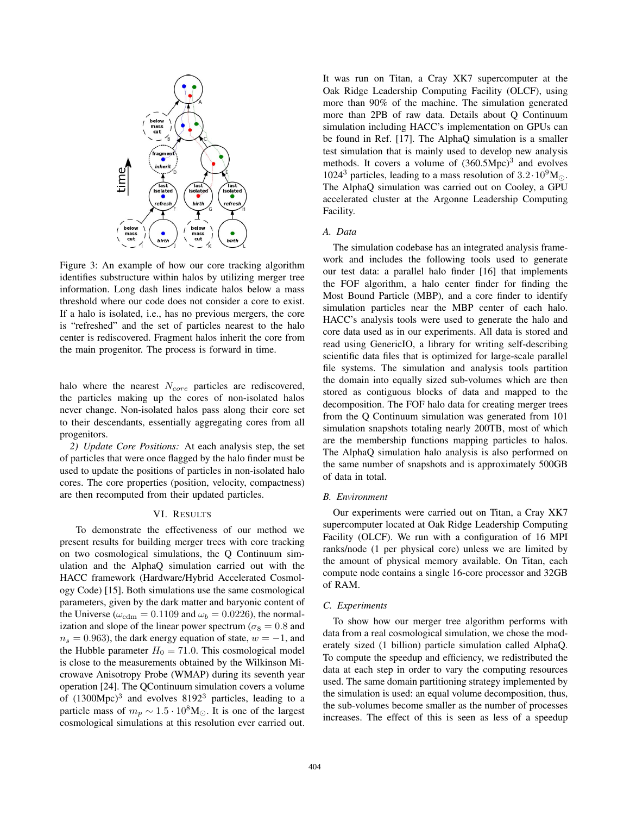

Figure 3: An example of how our core tracking algorithm identifies substructure within halos by utilizing merger tree information. Long dash lines indicate halos below a mass threshold where our code does not consider a core to exist. If a halo is isolated, i.e., has no previous mergers, the core is "refreshed" and the set of particles nearest to the halo center is rediscovered. Fragment halos inherit the core from the main progenitor. The process is forward in time.

halo where the nearest  $N_{core}$  particles are rediscovered, the particles making up the cores of non-isolated halos never change. Non-isolated halos pass along their core set to their descendants, essentially aggregating cores from all progenitors.

*2) Update Core Positions:* At each analysis step, the set of particles that were once flagged by the halo finder must be used to update the positions of particles in non-isolated halo cores. The core properties (position, velocity, compactness) are then recomputed from their updated particles.

### VI. RESULTS

To demonstrate the effectiveness of our method we present results for building merger trees with core tracking on two cosmological simulations, the Q Continuum simulation and the AlphaQ simulation carried out with the HACC framework (Hardware/Hybrid Accelerated Cosmology Code) [15]. Both simulations use the same cosmological parameters, given by the dark matter and baryonic content of the Universe ( $\omega_{\rm cdm} = 0.1109$  and  $\omega_b = 0.0226$ ), the normalization and slope of the linear power spectrum ( $\sigma_8 = 0.8$  and  $n<sub>s</sub> = 0.963$ , the dark energy equation of state,  $w = -1$ , and the Hubble parameter  $H_0 = 71.0$ . This cosmological model is close to the measurements obtained by the Wilkinson Microwave Anisotropy Probe (WMAP) during its seventh year operation [24]. The QContinuum simulation covers a volume of  $(1300 \text{Mpc})^3$  and evolves  $8192^3$  particles, leading to a particle mass of  $m_p \sim 1.5 \cdot 10^8 M_{\odot}$ . It is one of the largest cosmological simulations at this resolution ever carried out cosmological simulations at this resolution ever carried out.

It was run on Titan, a Cray XK7 supercomputer at the Oak Ridge Leadership Computing Facility (OLCF), using more than 90% of the machine. The simulation generated more than 2PB of raw data. Details about Q Continuum simulation including HACC's implementation on GPUs can be found in Ref. [17]. The AlphaQ simulation is a smaller test simulation that is mainly used to develop new analysis methods. It covers a volume of  $(360.5 \text{Mpc})^3$  and evolves 1024<sup>3</sup> particles, leading to a mass resolution of  $3.2 \cdot 10^9 M_{\odot}$ .<br>The AlphaO simulation was carried out on Cooley a GPU The AlphaQ simulation was carried out on Cooley, a GPU accelerated cluster at the Argonne Leadership Computing Facility.

### *A. Data*

The simulation codebase has an integrated analysis framework and includes the following tools used to generate our test data: a parallel halo finder [16] that implements the FOF algorithm, a halo center finder for finding the Most Bound Particle (MBP), and a core finder to identify simulation particles near the MBP center of each halo. HACC's analysis tools were used to generate the halo and core data used as in our experiments. All data is stored and read using GenericIO, a library for writing self-describing scientific data files that is optimized for large-scale parallel file systems. The simulation and analysis tools partition the domain into equally sized sub-volumes which are then stored as contiguous blocks of data and mapped to the decomposition. The FOF halo data for creating merger trees from the Q Continuum simulation was generated from 101 simulation snapshots totaling nearly 200TB, most of which are the membership functions mapping particles to halos. The AlphaQ simulation halo analysis is also performed on the same number of snapshots and is approximately 500GB of data in total.

# *B. Environment*

Our experiments were carried out on Titan, a Cray XK7 supercomputer located at Oak Ridge Leadership Computing Facility (OLCF). We run with a configuration of 16 MPI ranks/node (1 per physical core) unless we are limited by the amount of physical memory available. On Titan, each compute node contains a single 16-core processor and 32GB of RAM.

# *C. Experiments*

To show how our merger tree algorithm performs with data from a real cosmological simulation, we chose the moderately sized (1 billion) particle simulation called AlphaQ. To compute the speedup and efficiency, we redistributed the data at each step in order to vary the computing resources used. The same domain partitioning strategy implemented by the simulation is used: an equal volume decomposition, thus, the sub-volumes become smaller as the number of processes increases. The effect of this is seen as less of a speedup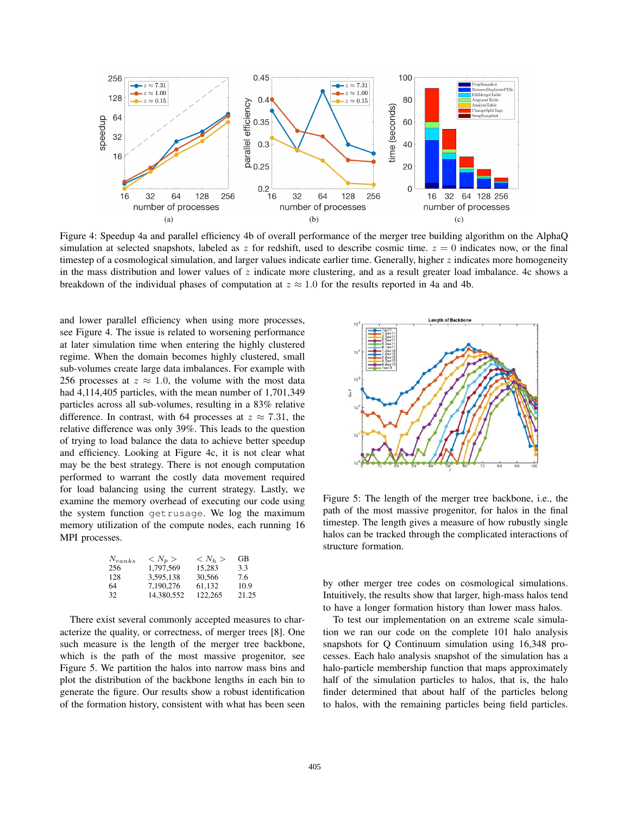

Figure 4: Speedup 4a and parallel efficiency 4b of overall performance of the merger tree building algorithm on the AlphaQ simulation at selected snapshots, labeled as z for redshift, used to describe cosmic time.  $z = 0$  indicates now, or the final timestep of a cosmological simulation, and larger values indicate earlier time. Generally, higher  $z$  indicates more homogeneity in the mass distribution and lower values of  $z$  indicate more clustering, and as a result greater load imbalance. 4c shows a breakdown of the individual phases of computation at  $z \approx 1.0$  for the results reported in 4a and 4b.

and lower parallel efficiency when using more processes, see Figure 4. The issue is related to worsening performance at later simulation time when entering the highly clustered regime. When the domain becomes highly clustered, small sub-volumes create large data imbalances. For example with 256 processes at  $z \approx 1.0$ , the volume with the most data had 4,114,405 particles, with the mean number of 1,701,349 particles across all sub-volumes, resulting in a 83% relative difference. In contrast, with 64 processes at  $z \approx 7.31$ , the relative difference was only 39%. This leads to the question of trying to load balance the data to achieve better speedup and efficiency. Looking at Figure 4c, it is not clear what may be the best strategy. There is not enough computation performed to warrant the costly data movement required for load balancing using the current strategy. Lastly, we examine the memory overhead of executing our code using the system function getrusage. We log the maximum memory utilization of the compute nodes, each running 16 MPI processes.

| $N_{ranks}$ | $\langle N_p \rangle$ | $\langle N_h \rangle$ | GВ    |
|-------------|-----------------------|-----------------------|-------|
| 256         | 1.797.569             | 15.283                | 3.3   |
| 128         | 3.595.138             | 30.566                | 7.6   |
| 64          | 7.190.276             | 61.132                | 10.9  |
| 32          | 14.380.552            | 122,265               | 21.25 |
|             |                       |                       |       |

There exist several commonly accepted measures to characterize the quality, or correctness, of merger trees [8]. One such measure is the length of the merger tree backbone, which is the path of the most massive progenitor, see Figure 5. We partition the halos into narrow mass bins and plot the distribution of the backbone lengths in each bin to generate the figure. Our results show a robust identification of the formation history, consistent with what has been seen



Figure 5: The length of the merger tree backbone, i.e., the path of the most massive progenitor, for halos in the final timestep. The length gives a measure of how rubustly single halos can be tracked through the complicated interactions of structure formation.

by other merger tree codes on cosmological simulations. Intuitively, the results show that larger, high-mass halos tend to have a longer formation history than lower mass halos.

To test our implementation on an extreme scale simulation we ran our code on the complete 101 halo analysis snapshots for Q Continuum simulation using 16,348 processes. Each halo analysis snapshot of the simulation has a halo-particle membership function that maps approximately half of the simulation particles to halos, that is, the halo finder determined that about half of the particles belong to halos, with the remaining particles being field particles.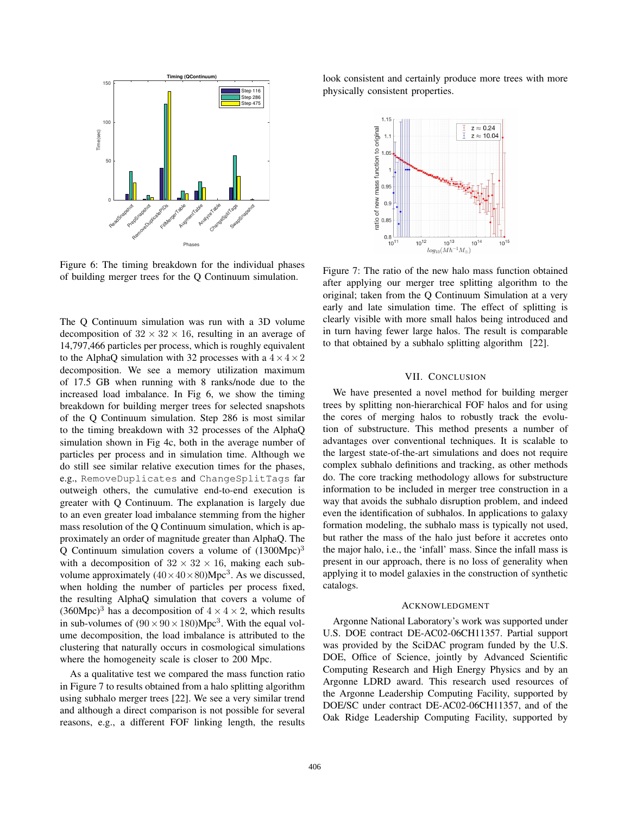

Figure 6: The timing breakdown for the individual phases of building merger trees for the Q Continuum simulation.

The Q Continuum simulation was run with a 3D volume decomposition of  $32 \times 32 \times 16$ , resulting in an average of 14,797,466 particles per process, which is roughly equivalent to the AlphaQ simulation with 32 processes with a  $4 \times 4 \times 2$ decomposition. We see a memory utilization maximum of 17.5 GB when running with 8 ranks/node due to the increased load imbalance. In Fig 6, we show the timing breakdown for building merger trees for selected snapshots of the Q Continuum simulation. Step 286 is most similar to the timing breakdown with 32 processes of the AlphaQ simulation shown in Fig 4c, both in the average number of particles per process and in simulation time. Although we do still see similar relative execution times for the phases, e.g., RemoveDuplicates and ChangeSplitTags far outweigh others, the cumulative end-to-end execution is greater with Q Continuum. The explanation is largely due to an even greater load imbalance stemming from the higher mass resolution of the Q Continuum simulation, which is approximately an order of magnitude greater than AlphaQ. The Q Continuum simulation covers a volume of  $(1300 \text{Mpc})^3$ with a decomposition of  $32 \times 32 \times 16$ , making each subvolume approximately  $(40 \times 40 \times 80)$ Mpc<sup>3</sup>. As we discussed, when holding the number of particles per process fixed, the resulting AlphaQ simulation that covers a volume of  $(360 \text{Mpc})^3$  has a decomposition of  $4 \times 4 \times 2$ , which results in sub-volumes of  $(90 \times 90 \times 180)$ Mpc<sup>3</sup>. With the equal volume decomposition, the load imbalance is attributed to the clustering that naturally occurs in cosmological simulations where the homogeneity scale is closer to 200 Mpc.

As a qualitative test we compared the mass function ratio in Figure 7 to results obtained from a halo splitting algorithm using subhalo merger trees [22]. We see a very similar trend and although a direct comparison is not possible for several reasons, e.g., a different FOF linking length, the results

look consistent and certainly produce more trees with more physically consistent properties.



Figure 7: The ratio of the new halo mass function obtained after applying our merger tree splitting algorithm to the original; taken from the Q Continuum Simulation at a very early and late simulation time. The effect of splitting is clearly visible with more small halos being introduced and in turn having fewer large halos. The result is comparable to that obtained by a subhalo splitting algorithm [22].

#### VII. CONCLUSION

We have presented a novel method for building merger trees by splitting non-hierarchical FOF halos and for using the cores of merging halos to robustly track the evolution of substructure. This method presents a number of advantages over conventional techniques. It is scalable to the largest state-of-the-art simulations and does not require complex subhalo definitions and tracking, as other methods do. The core tracking methodology allows for substructure information to be included in merger tree construction in a way that avoids the subhalo disruption problem, and indeed even the identification of subhalos. In applications to galaxy formation modeling, the subhalo mass is typically not used, but rather the mass of the halo just before it accretes onto the major halo, i.e., the 'infall' mass. Since the infall mass is present in our approach, there is no loss of generality when applying it to model galaxies in the construction of synthetic catalogs.

#### ACKNOWLEDGMENT

Argonne National Laboratory's work was supported under U.S. DOE contract DE-AC02-06CH11357. Partial support was provided by the SciDAC program funded by the U.S. DOE, Office of Science, jointly by Advanced Scientific Computing Research and High Energy Physics and by an Argonne LDRD award. This research used resources of the Argonne Leadership Computing Facility, supported by DOE/SC under contract DE-AC02-06CH11357, and of the Oak Ridge Leadership Computing Facility, supported by